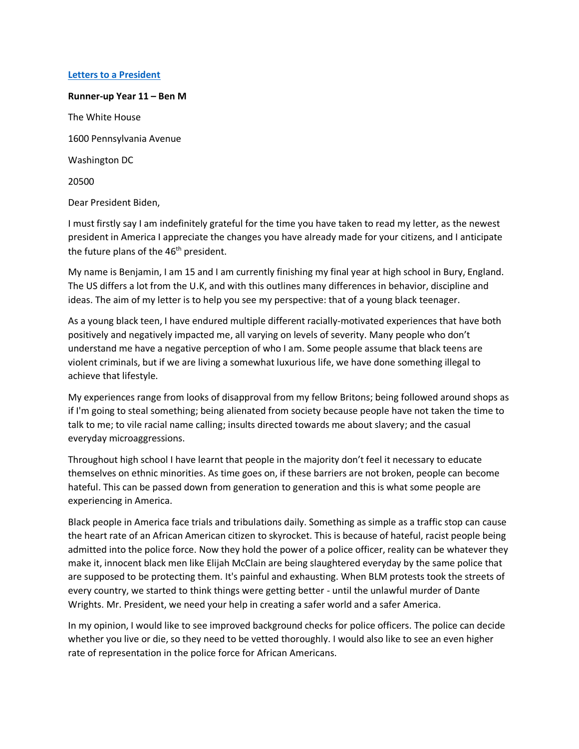## **Letters to [a President](https://www.alc.manchester.ac.uk/connect/schools/outreach/as-competition/)**

## **Runner-up Year 11 – Ben M** The White House 1600 Pennsylvania Avenue Washington DC 20500 Dear President Biden,

I must firstly say I am indefinitely grateful for the time you have taken to read my letter, as the newest president in America I appreciate the changes you have already made for your citizens, and I anticipate the future plans of the  $46<sup>th</sup>$  president.

My name is Benjamin, I am 15 and I am currently finishing my final year at high school in Bury, England. The US differs a lot from the U.K, and with this outlines many differences in behavior, discipline and ideas. The aim of my letter is to help you see my perspective: that of a young black teenager.

As a young black teen, I have endured multiple different racially-motivated experiences that have both positively and negatively impacted me, all varying on levels of severity. Many people who don't understand me have a negative perception of who I am. Some people assume that black teens are violent criminals, but if we are living a somewhat luxurious life, we have done something illegal to achieve that lifestyle.

My experiences range from looks of disapproval from my fellow Britons; being followed around shops as if I'm going to steal something; being alienated from society because people have not taken the time to talk to me; to vile racial name calling; insults directed towards me about slavery; and the casual everyday microaggressions.

Throughout high school I have learnt that people in the majority don't feel it necessary to educate themselves on ethnic minorities. As time goes on, if these barriers are not broken, people can become hateful. This can be passed down from generation to generation and this is what some people are experiencing in America.

Black people in America face trials and tribulations daily. Something as simple as a traffic stop can cause the heart rate of an African American citizen to skyrocket. This is because of hateful, racist people being admitted into the police force. Now they hold the power of a police officer, reality can be whatever they make it, innocent black men like Elijah McClain are being slaughtered everyday by the same police that are supposed to be protecting them. It's painful and exhausting. When BLM protests took the streets of every country, we started to think things were getting better - until the unlawful murder of Dante Wrights. Mr. President, we need your help in creating a safer world and a safer America.

In my opinion, I would like to see improved background checks for police officers. The police can decide whether you live or die, so they need to be vetted thoroughly. I would also like to see an even higher rate of representation in the police force for African Americans.